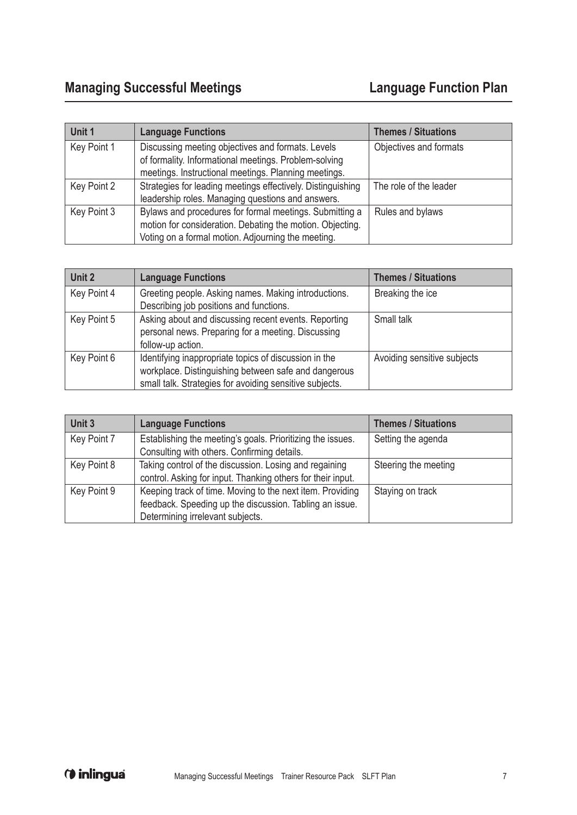| Unit 1      | <b>Language Functions</b>                                                                                                                                                  | <b>Themes / Situations</b> |
|-------------|----------------------------------------------------------------------------------------------------------------------------------------------------------------------------|----------------------------|
| Key Point 1 | Discussing meeting objectives and formats. Levels<br>of formality. Informational meetings. Problem-solving<br>meetings. Instructional meetings. Planning meetings.         | Objectives and formats     |
| Key Point 2 | Strategies for leading meetings effectively. Distinguishing<br>leadership roles. Managing questions and answers.                                                           | The role of the leader     |
| Key Point 3 | Bylaws and procedures for formal meetings. Submitting a<br>motion for consideration. Debating the motion. Objecting.<br>Voting on a formal motion. Adjourning the meeting. | Rules and bylaws           |

| Unit 2      | <b>Language Functions</b>                                                                                                                                                | <b>Themes / Situations</b>  |
|-------------|--------------------------------------------------------------------------------------------------------------------------------------------------------------------------|-----------------------------|
| Key Point 4 | Greeting people. Asking names. Making introductions.<br>Describing job positions and functions.                                                                          | Breaking the ice            |
| Key Point 5 | Asking about and discussing recent events. Reporting<br>personal news. Preparing for a meeting. Discussing<br>follow-up action.                                          | Small talk                  |
| Key Point 6 | Identifying inappropriate topics of discussion in the<br>workplace. Distinguishing between safe and dangerous<br>small talk. Strategies for avoiding sensitive subjects. | Avoiding sensitive subjects |

| Unit 3      | <b>Language Functions</b>                                                                                 | <b>Themes / Situations</b> |
|-------------|-----------------------------------------------------------------------------------------------------------|----------------------------|
| Key Point 7 | Establishing the meeting's goals. Prioritizing the issues.<br>Consulting with others. Confirming details. | Setting the agenda         |
|             |                                                                                                           |                            |
| Key Point 8 | Taking control of the discussion. Losing and regaining                                                    | Steering the meeting       |
|             | control. Asking for input. Thanking others for their input.                                               |                            |
| Key Point 9 | Keeping track of time. Moving to the next item. Providing                                                 | Staying on track           |
|             | feedback. Speeding up the discussion. Tabling an issue.                                                   |                            |
|             | Determining irrelevant subjects.                                                                          |                            |